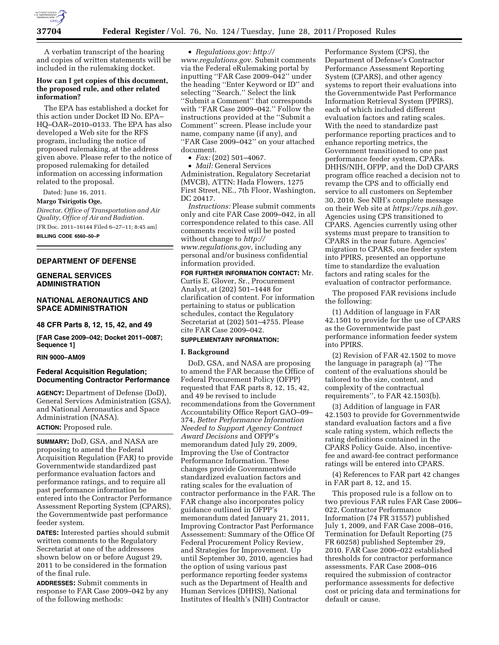

A verbatim transcript of the hearing and copies of written statements will be included in the rulemaking docket.

### **How can I get copies of this document, the proposed rule, and other related information?**

The EPA has established a docket for this action under Docket ID No. EPA– HQ–OAR–2010–0133. The EPA has also developed a Web site for the RFS program, including the notice of proposed rulemaking, at the address given above. Please refer to the notice of proposed rulemaking for detailed information on accessing information related to the proposal.

Dated: June 16, 2011.

### **Margo Tsirigotis Oge,**

*Director, Office of Transportation and Air Quality, Office of Air and Radiation.*  [FR Doc. 2011–16144 Filed 6–27–11; 8:45 am] **BILLING CODE 6560–50–P** 

#### **DEPARTMENT OF DEFENSE**

### **GENERAL SERVICES ADMINISTRATION**

### **NATIONAL AERONAUTICS AND SPACE ADMINISTRATION**

#### **48 CFR Parts 8, 12, 15, 42, and 49**

**[FAR Case 2009–042; Docket 2011–0087; Sequence 1]** 

## **RIN 9000–AM09**

## **Federal Acquisition Regulation; Documenting Contractor Performance**

**AGENCY:** Department of Defense (DoD), General Services Administration (GSA), and National Aeronautics and Space Administration (NASA).

## **ACTION:** Proposed rule.

**SUMMARY:** DoD, GSA, and NASA are proposing to amend the Federal Acquisition Regulation (FAR) to provide Governmentwide standardized past performance evaluation factors and performance ratings, and to require all past performance information be entered into the Contractor Performance Assessment Reporting System (CPARS), the Governmentwide past performance feeder system.

**DATES:** Interested parties should submit written comments to the Regulatory Secretariat at one of the addressees shown below on or before August 29, 2011 to be considered in the formation of the final rule.

**ADDRESSES:** Submit comments in response to FAR Case 2009–042 by any of the following methods:

• *Regulations.gov: [http://](http://www.regulations.gov)  [www.regulations.gov.](http://www.regulations.gov)* Submit comments via the Federal eRulemaking portal by inputting ''FAR Case 2009–042'' under the heading ''Enter Keyword or ID'' and selecting ''Search.'' Select the link ''Submit a Comment'' that corresponds with ''FAR Case 2009–042.'' Follow the instructions provided at the ''Submit a Comment'' screen. Please include your name, company name (if any), and ''FAR Case 2009–042'' on your attached document.

• *Fax:* (202) 501–4067.

• *Mail:* General Services Administration, Regulatory Secretariat (MVCB), ATTN: Hada Flowers, 1275 First Street, NE., 7th Floor, Washington, DC 20417.

*Instructions:* Please submit comments only and cite FAR Case 2009–042, in all correspondence related to this case. All comments received will be posted without change to *[http://](http://www.regulations.gov) [www.regulations.gov,](http://www.regulations.gov)* including any personal and/or business confidential information provided.

**FOR FURTHER INFORMATION CONTACT:** Mr. Curtis E. Glover, Sr., Procurement Analyst, at (202) 501–1448 for clarification of content. For information pertaining to status or publication schedules, contact the Regulatory Secretariat at (202) 501–4755. Please cite FAR Case 2009–042.

# **SUPPLEMENTARY INFORMATION:**

#### **I. Background**

DoD, GSA, and NASA are proposing to amend the FAR because the Office of Federal Procurement Policy (OFPP) requested that FAR parts 8, 12, 15, 42, and 49 be revised to include recommendations from the Government Accountability Office Report GAO–09– 374, *Better Performance Information Needed to Support Agency Contract Award Decisions* and OFPP's memorandum dated July 29, 2009, Improving the Use of Contractor Performance Information. These changes provide Governmentwide standardized evaluation factors and rating scales for the evaluation of contractor performance in the FAR. The FAR change also incorporates policy guidance outlined in OFPP's memorandum dated January 21, 2011, Improving Contractor Past Performance Assessement: Summary of the Office Of Federal Procurement Policy Review, and Strategies for Improvement. Up until September 30, 2010, agencies had the option of using various past performance reporting feeder systems such as the Department of Health and Human Services (DHHS), National Institutes of Health's (NIH) Contractor

Performance System (CPS), the Department of Defense's Contractor Performance Assessment Reporting System (CPARS), and other agency systems to report their evaluations into the Governmentwide Past Performance Information Retrieval System (PPIRS), each of which included different evaluation factors and rating scales. With the need to standardize past performance reporting practices and to enhance reporting metrics, the Government transitioned to one past performance feeder system, CPARs. DHHS/NIH, OFPP, and the DoD CPARS program office reached a decision not to revamp the CPS and to officially end service to all customers on September 30, 2010. See NIH's complete message on their Web site at *[https://cps.nih.gov.](https://cps.nih.gov)*  Agencies using CPS transitioned to CPARS. Agencies currently using other systems must prepare to transition to CPARS in the near future. Agencies' migration to CPARS, one feeder system into PPIRS, presented an opportune time to standardize the evaluation factors and rating scales for the evaluation of contractor performance.

The proposed FAR revisions include the following:

(1) Addition of language in FAR 42.1501 to provide for the use of CPARS as the Governmentwide past performance information feeder system into PPIRS.

(2) Revision of FAR 42.1502 to move the language in paragraph (a) ''The content of the evaluations should be tailored to the size, content, and complexity of the contractual requirements'', to FAR 42.1503(b).

(3) Addition of language in FAR 42.1503 to provide for Governmentwide standard evaluation factors and a five scale rating system, which reflects the rating definitions contained in the CPARS Policy Guide. Also, incentivefee and award-fee contract performance ratings will be entered into CPARS.

(4) References to FAR part 42 changes in FAR part 8, 12, and 15.

This proposed rule is a follow on to two previous FAR rules FAR Case 2006– 022, Contractor Performance Information (74 FR 31557) published July 1, 2009, and FAR Case 2008–016, Termination for Default Reporting (75 FR 60258) published September 29, 2010. FAR Case 2006–022 established thresholds for contractor performance assessments. FAR Case 2008–016 required the submission of contractor performance assessments for defective cost or pricing data and terminations for default or cause.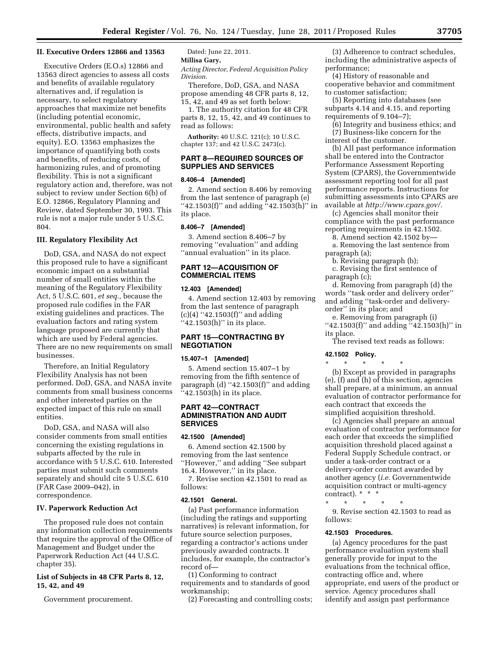#### **II. Executive Orders 12866 and 13563**

Executive Orders (E.O.s) 12866 and 13563 direct agencies to assess all costs and benefits of available regulatory alternatives and, if regulation is necessary, to select regulatory approaches that maximize net benefits (including potential economic, environmental, public health and safety effects, distributive impacts, and equity). E.O. 13563 emphasizes the importance of quantifying both costs and benefits, of reducing costs, of harmonizing rules, and of promoting flexibility. This is not a significant regulatory action and, therefore, was not subject to review under Section 6(b) of E.O. 12866, Regulatory Planning and Review, dated September 30, 1993. This rule is not a major rule under 5 U.S.C. 804.

#### **III. Regulatory Flexibility Act**

DoD, GSA, and NASA do not expect this proposed rule to have a significant economic impact on a substantial number of small entities within the meaning of the Regulatory Flexibility Act, 5 U.S.C. 601, *et seq.,* because the proposed rule codifies in the FAR existing guidelines and practices. The evaluation factors and rating system language proposed are currently that which are used by Federal agencies. There are no new requirements on small businesses.

Therefore, an Initial Regulatory Flexibility Analysis has not been performed. DoD, GSA, and NASA invite comments from small business concerns and other interested parties on the expected impact of this rule on small entities.

DoD, GSA, and NASA will also consider comments from small entities concerning the existing regulations in subparts affected by the rule in accordance with 5 U.S.C. 610. Interested parties must submit such comments separately and should cite 5 U.S.C. 610 (FAR Case 2009–042), in correspondence.

#### **IV. Paperwork Reduction Act**

The proposed rule does not contain any information collection requirements that require the approval of the Office of Management and Budget under the Paperwork Reduction Act (44 U.S.C. chapter 35).

### **List of Subjects in 48 CFR Parts 8, 12, 15, 42, and 49**

Government procurement.

# Dated: June 22, 2011.

# **Millisa Gary,**

*Acting Director, Federal Acquisition Policy Division.* 

Therefore, DoD, GSA, and NASA propose amending 48 CFR parts 8, 12, 15, 42, and 49 as set forth below:

1. The authority citation for 48 CFR parts 8, 12, 15, 42, and 49 continues to read as follows:

**Authority:** 40 U.S.C. 121(c); 10 U.S.C. chapter 137; and 42 U.S.C. 2473(c).

### **PART 8—REQUIRED SOURCES OF SUPPLIES AND SERVICES**

#### **8.406–4 [Amended]**

2. Amend section 8.406 by removing from the last sentence of paragraph (e)  $``42.1503(f)"$  and adding  $``42.1503(h)"$  in its place.

### **8.406–7 [Amended]**

3. Amend section 8.406–7 by removing ''evaluation'' and adding ''annual evaluation'' in its place.

## **PART 12—ACQUISITION OF COMMERCIAL ITEMS**

#### **12.403 [Amended]**

4. Amend section 12.403 by removing from the last sentence of paragraph  $(c)(4)$  "42.1503(f)" and adding ''42.1503(h)'' in its place.

## **PART 15—CONTRACTING BY NEGOTIATION**

#### **15.407–1 [Amended]**

5. Amend section 15.407–1 by removing from the fifth sentence of paragraph  $(d)$  "42.1503 $(f)$ " and adding ''42.1503(h) in its place.

### **PART 42—CONTRACT ADMINISTRATION AND AUDIT SERVICES**

#### **42.1500 [Amended]**

6. Amend section 42.1500 by removing from the last sentence ''However,'' and adding ''See subpart 16.4. However,'' in its place.

7. Revise section 42.1501 to read as follows:

#### **42.1501 General.**

(a) Past performance information (including the ratings and supporting narratives) is relevant information, for future source selection purposes, regarding a contractor's actions under previously awarded contracts. It includes, for example, the contractor's record of—

(1) Conforming to contract requirements and to standards of good workmanship;

(2) Forecasting and controlling costs;

(3) Adherence to contract schedules, including the administrative aspects of performance;

(4) History of reasonable and cooperative behavior and commitment to customer satisfaction;

(5) Reporting into databases (see subparts 4.14 and 4.15, and reporting requirements of 9.104–7);

(6) Integrity and business ethics; and (7) Business-like concern for the interest of the customer.

(b) All past performance information shall be entered into the Contractor Performance Assessment Reporting System (CPARS), the Governmentwide assessment reporting tool for all past performance reports. Instructions for submitting assessments into CPARS are available at *[http://www.cpars.gov/.](http://www.cpars.gov/)* 

(c) Agencies shall monitor their compliance with the past performance reporting requirements in 42.1502.

8. Amend section 42.1502 by—

a. Removing the last sentence from paragraph (a);

b. Revising paragraph (b); c. Revising the first sentence of paragraph (c);

d. Removing from paragraph (d) the words ''task order and delivery order'' and adding ''task-order and deliveryorder'' in its place; and

e. Removing from paragraph (i) "42.1503(f)" and adding  $[42.1503(h)]$ " in its place.

The revised text reads as follows:

#### **42.1502 Policy.**

\* \* \* \* \* (b) Except as provided in paragraphs (e), (f) and (h) of this section, agencies shall prepare, at a minimum, an annual evaluation of contractor performance for each contract that exceeds the simplified acquisition threshold.

(c) Agencies shall prepare an annual evaluation of contractor performance for each order that exceeds the simplified acquisition threshold placed against a Federal Supply Schedule contract, or under a task-order contract or a delivery-order contract awarded by another agency (*i.e.* Governmentwide acquisition contract or multi-agency contract).  $* * *$ 

\* \* \* \* \* 9. Revise section 42.1503 to read as follows:

#### **42.1503 Procedures.**

(a) Agency procedures for the past performance evaluation system shall generally provide for input to the evaluations from the technical office, contracting office and, where appropriate, end users of the product or service. Agency procedures shall identify and assign past performance